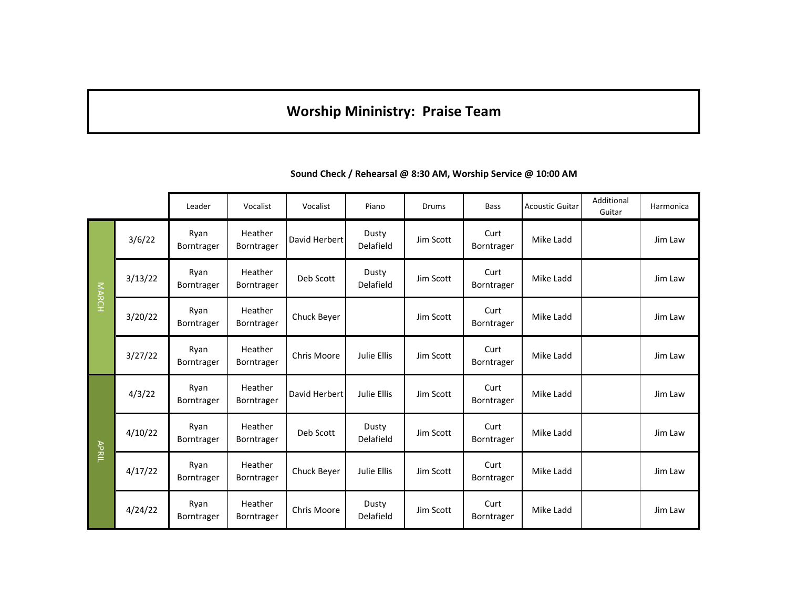## **Worship Mininistry: Praise Team**

|              |         | Leader             | Vocalist                     | Vocalist      | Piano                     | Drums     | <b>Bass</b>        | <b>Acoustic Guitar</b> | Additional<br>Guitar | Harmonica |
|--------------|---------|--------------------|------------------------------|---------------|---------------------------|-----------|--------------------|------------------------|----------------------|-----------|
| <b>MARCH</b> | 3/6/22  | Ryan<br>Borntrager | Heather<br>Borntrager        | David Herbert | Dusty<br>Delafield        | Jim Scott | Curt<br>Borntrager | Mike Ladd              |                      | Jim Law   |
|              | 3/13/22 | Ryan<br>Borntrager | Heather<br>Borntrager        | Deb Scott     | Dusty<br>Delafield        | Jim Scott | Curt<br>Borntrager | Mike Ladd              |                      | Jim Law   |
|              | 3/20/22 | Ryan<br>Borntrager | Heather<br>Borntrager        | Chuck Beyer   |                           | Jim Scott | Curt<br>Borntrager | Mike Ladd              |                      | Jim Law   |
|              | 3/27/22 | Ryan<br>Borntrager | Heather<br>Borntrager        | Chris Moore   | Julie Ellis               | Jim Scott | Curt<br>Borntrager | Mike Ladd              |                      | Jim Law   |
| APRIL        | 4/3/22  | Ryan<br>Borntrager | Heather<br>Borntrager        | David Herbert | Julie Ellis               | Jim Scott | Curt<br>Borntrager | Mike Ladd              |                      | Jim Law   |
|              | 4/10/22 | Ryan<br>Borntrager | Heather<br>Borntrager        | Deb Scott     | Dusty<br>Delafield        | Jim Scott | Curt<br>Borntrager | Mike Ladd              |                      | Jim Law   |
|              | 4/17/22 | Ryan<br>Borntrager | Heather<br>Borntrager        | Chuck Beyer   | Julie Ellis               | Jim Scott | Curt<br>Borntrager | Mike Ladd              |                      | Jim Law   |
|              | 4/24/22 | Ryan<br>Borntrager | Heather<br><b>Borntrager</b> | Chris Moore   | Dusty<br><b>Delafield</b> | Jim Scott | Curt<br>Borntrager | Mike Ladd              |                      | Jim Law   |

**Sound Check / Rehearsal @ 8:30 AM, Worship Service @ 10:00 AM**